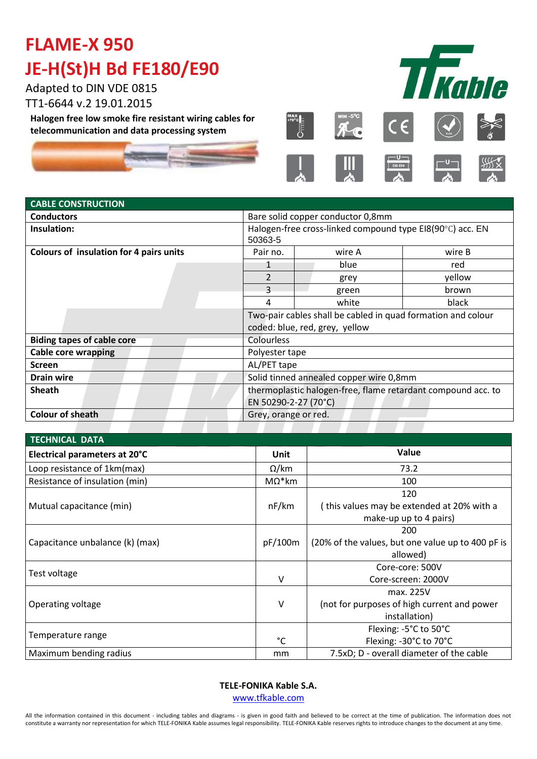# **FLAME-X 950 JE-H(St)H Bd FE180/E90**

Adapted to DIN VDE 0815 TT1-6644 v.2 19.01.2015

**Halogen free low smoke fire resistant wiring cables for telecommunication and data processing system**





ļ









### **CABLE CONSTRUCTION Conductors Conductors Bare solid copper conductor 0,8mm Insulation:**  $\vert$  Halogen-free cross-linked compound type EI8(90°C) acc. EN 50363-5 **Colours of insulation for 4 pairs units** Pair no. Wire A wire B 1 blue and the blue blue and the red 2 grey yellow 3 green brown 4 | white | black Two-pair cables shall be cabled in quad formation and colour coded: blue, red, grey, yellow **Biding tapes of cable core** Colourless

| Cable core wrapping     | Polyester tape                                               |  |  |
|-------------------------|--------------------------------------------------------------|--|--|
| <b>Screen</b>           | AL/PET tape                                                  |  |  |
| <b>Drain wire</b>       | Solid tinned annealed copper wire 0,8mm                      |  |  |
| <b>Sheath</b>           | thermoplastic halogen-free, flame retardant compound acc. to |  |  |
|                         | EN 50290-2-27 (70°C)                                         |  |  |
| <b>Colour of sheath</b> | Grey, orange or red.                                         |  |  |

| <b>TECHNICAL DATA</b>           |                |                                                                             |  |  |  |  |
|---------------------------------|----------------|-----------------------------------------------------------------------------|--|--|--|--|
| Electrical parameters at 20°C   | Unit           | Value                                                                       |  |  |  |  |
| Loop resistance of 1km(max)     | $\Omega$ /km   | 73.2                                                                        |  |  |  |  |
| Resistance of insulation (min)  | $M\Omega^*$ km | 100                                                                         |  |  |  |  |
| Mutual capacitance (min)        | nF/km          | 120<br>(this values may be extended at 20% with a<br>make-up up to 4 pairs) |  |  |  |  |
| Capacitance unbalance (k) (max) | pF/100m        | 200<br>(20% of the values, but one value up to 400 pF is<br>allowed)        |  |  |  |  |
| Test voltage                    | v              | Core-core: 500V<br>Core-screen: 2000V                                       |  |  |  |  |
| Operating voltage               | $\vee$         | max. 225V<br>(not for purposes of high current and power<br>installation)   |  |  |  |  |
| Temperature range               | °C             | Flexing: -5°C to 50°C<br>Flexing: -30°C to 70°C                             |  |  |  |  |
| Maximum bending radius          | mm             | 7.5xD; D - overall diameter of the cable                                    |  |  |  |  |

### **TELE-FONIKA Kable S.A.**

www.tfkable.com

All the information contained in this document - including tables and diagrams - is given in good faith and believed to be correct at the time of publication. The information does not constitute a warranty nor representation for which TELE-FONIKA Kable assumes legal responsibility. TELE-FONIKA Kable reserves rights to introduce changes to the document at any time.